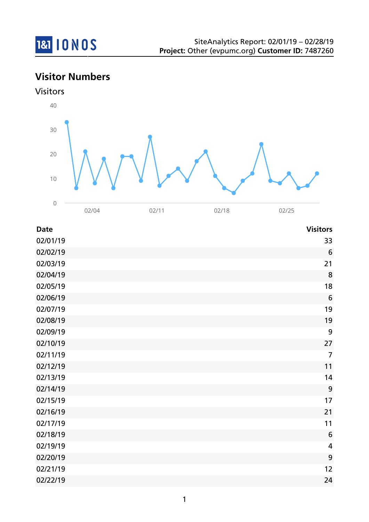

# **Visitor Numbers**



| <b>Date</b> | <b>Visitors</b>         |
|-------------|-------------------------|
| 02/01/19    | 33                      |
| 02/02/19    | 6                       |
| 02/03/19    | 21                      |
| 02/04/19    | 8                       |
| 02/05/19    | 18                      |
| 02/06/19    | $6\phantom{1}6$         |
| 02/07/19    | 19                      |
| 02/08/19    | 19                      |
| 02/09/19    | 9                       |
| 02/10/19    | 27                      |
| 02/11/19    | $\overline{7}$          |
| 02/12/19    | 11                      |
| 02/13/19    | 14                      |
| 02/14/19    | 9                       |
| 02/15/19    | 17                      |
| 02/16/19    | 21                      |
| 02/17/19    | 11                      |
| 02/18/19    | 6                       |
| 02/19/19    | $\overline{\mathbf{4}}$ |
| 02/20/19    | 9                       |
| 02/21/19    | 12                      |
| 02/22/19    | 24                      |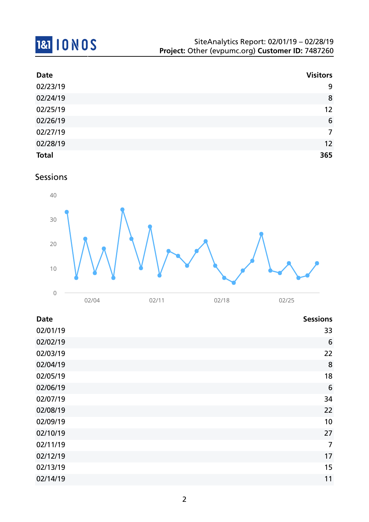# 181 10 NOS

| <b>Date</b>  | <b>Visitors</b> |
|--------------|-----------------|
| 02/23/19     | 9               |
| 02/24/19     | 8               |
| 02/25/19     | 12              |
| 02/26/19     | 6               |
| 02/27/19     | $\overline{7}$  |
| 02/28/19     | 12              |
| <b>Total</b> | 365             |

### Sessions



| <b>Date</b> | <b>Sessions</b> |
|-------------|-----------------|
| 02/01/19    | 33              |
| 02/02/19    | 6               |
| 02/03/19    | 22              |
| 02/04/19    | 8               |
| 02/05/19    | 18              |
| 02/06/19    | $6\phantom{1}6$ |
| 02/07/19    | 34              |
| 02/08/19    | 22              |
| 02/09/19    | 10              |
| 02/10/19    | 27              |
| 02/11/19    | $\overline{7}$  |
| 02/12/19    | 17              |
| 02/13/19    | 15              |
| 02/14/19    | 11              |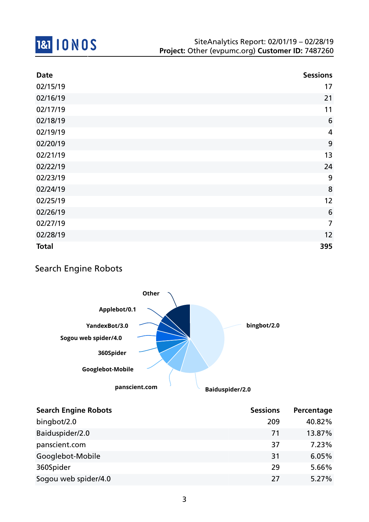

| <b>Date</b>  | <b>Sessions</b> |
|--------------|-----------------|
| 02/15/19     | 17              |
| 02/16/19     | 21              |
| 02/17/19     | 11              |
| 02/18/19     | 6               |
| 02/19/19     | $\overline{4}$  |
| 02/20/19     | 9               |
| 02/21/19     | 13              |
| 02/22/19     | 24              |
| 02/23/19     | 9               |
| 02/24/19     | 8               |
| 02/25/19     | 12              |
| 02/26/19     | 6               |
| 02/27/19     | $\overline{7}$  |
| 02/28/19     | 12              |
| <b>Total</b> | 395             |

### Search Engine Robots



| <b>Search Engine Robots</b> | <b>Sessions</b> | Percentage |
|-----------------------------|-----------------|------------|
| bingbot/2.0                 | 209             | 40.82%     |
| Baiduspider/2.0             | 71              | 13.87%     |
| panscient.com               | 37              | 7.23%      |
| Googlebot-Mobile            | 31              | 6.05%      |
| 360Spider                   | 29              | 5.66%      |
| Sogou web spider/4.0        | 27              | 5.27%      |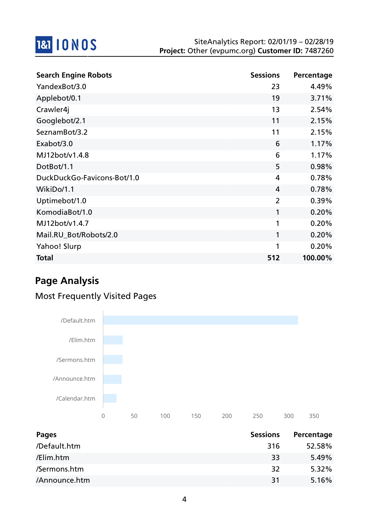

| <b>Search Engine Robots</b> | <b>Sessions</b> | Percentage |
|-----------------------------|-----------------|------------|
| YandexBot/3.0               | 23              | 4.49%      |
| Applebot/0.1                | 19              | 3.71%      |
| Crawler4j                   | 13              | 2.54%      |
| Googlebot/2.1               | 11              | 2.15%      |
| SeznamBot/3.2               | 11              | 2.15%      |
| Exabot/3.0                  | 6               | 1.17%      |
| MJ12bot/v1.4.8              | 6               | 1.17%      |
| DotBot/1.1                  | 5               | 0.98%      |
| DuckDuckGo-Favicons-Bot/1.0 | 4               | 0.78%      |
| WikiDo/1.1                  | 4               | 0.78%      |
| Uptimebot/1.0               | $\overline{2}$  | 0.39%      |
| KomodiaBot/1.0              | 1               | 0.20%      |
| MJ12bot/v1.4.7              | 1               | 0.20%      |
| Mail.RU_Bot/Robots/2.0      | 1               | 0.20%      |
| Yahoo! Slurp                | 1               | 0.20%      |
| <b>Total</b>                | 512             | 100.00%    |

# **Page Analysis**

### Most Frequently Visited Pages



| Pages         | <b>Sessions</b> | Percentage |
|---------------|-----------------|------------|
| /Default.htm  | 316             | 52.58%     |
| /Elim.htm     | 33              | 5.49%      |
| /Sermons.htm  | 32              | $5.32\%$   |
| /Announce.htm | 31              | 5.16%      |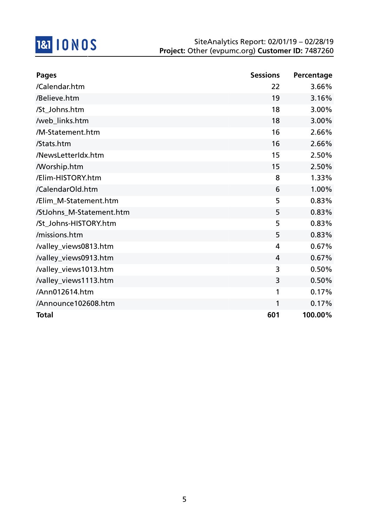

| <b>Pages</b>             | <b>Sessions</b> | Percentage |
|--------------------------|-----------------|------------|
| /Calendar.htm            | 22              | 3.66%      |
| /Believe.htm             | 19              | 3.16%      |
| /St_Johns.htm            | 18              | 3.00%      |
| /web_links.htm           | 18              | 3.00%      |
| /M-Statement.htm         | 16              | 2.66%      |
| /Stats.htm               | 16              | 2.66%      |
| /NewsLetterIdx.htm       | 15              | 2.50%      |
| <b>Morship.htm</b>       | 15              | 2.50%      |
| /Elim-HISTORY.htm        | 8               | 1.33%      |
| /CalendarOld.htm         | 6               | 1.00%      |
| /Elim_M-Statement.htm    | 5               | 0.83%      |
| /StJohns_M-Statement.htm | 5               | 0.83%      |
| /St_Johns-HISTORY.htm    | 5               | 0.83%      |
| /missions.htm            | 5               | 0.83%      |
| /valley_views0813.htm    | $\overline{4}$  | 0.67%      |
| /valley_views0913.htm    | $\overline{4}$  | 0.67%      |
| /valley_views1013.htm    | 3               | 0.50%      |
| /valley_views1113.htm    | 3               | 0.50%      |
| /Ann012614.htm           | 1               | 0.17%      |
| /Announce102608.htm      | 1               | 0.17%      |
| <b>Total</b>             | 601             | 100.00%    |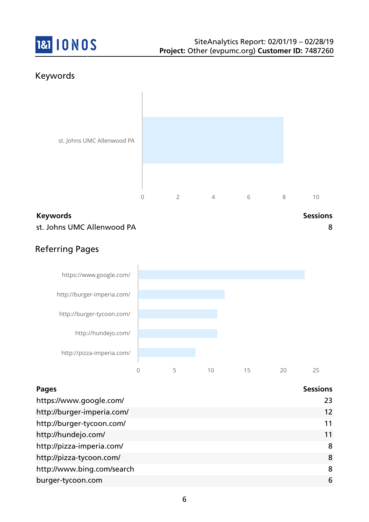

### Keywords



### **Keywords Sessions** st. Johns UMC Allenwood PA 8



### Referring Pages



| <b>Pages</b>               | <b>Sessions</b> |
|----------------------------|-----------------|
| https://www.google.com/    | 23              |
| http://burger-imperia.com/ | 12              |
| http://burger-tycoon.com/  | 11              |
| http://hundejo.com/        | 11              |
| http://pizza-imperia.com/  | 8               |
| http://pizza-tycoon.com/   | 8               |
| http://www.bing.com/search | 8               |
| burger-tycoon.com          | 6               |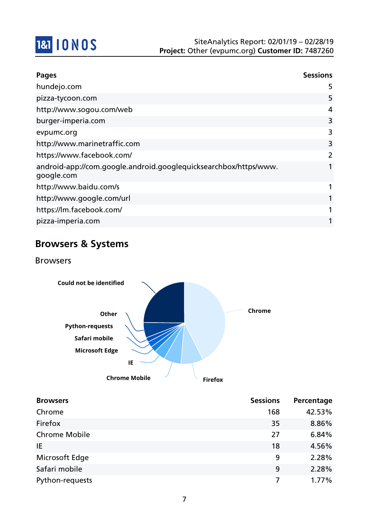

| <b>Pages</b>                                                                   | <b>Sessions</b> |
|--------------------------------------------------------------------------------|-----------------|
| hundejo.com                                                                    | 5               |
| pizza-tycoon.com                                                               | 5               |
| http://www.sogou.com/web                                                       | 4               |
| burger-imperia.com                                                             | 3               |
| evpumc.org                                                                     | 3               |
| http://www.marinetraffic.com                                                   | 3               |
| https://www.facebook.com/                                                      |                 |
| android-app://com.google.android.googlequicksearchbox/https/www.<br>google.com | 1               |
| http://www.baidu.com/s                                                         | 1               |
| http://www.google.com/url                                                      | 1               |
| https://lm.facebook.com/                                                       | 1               |
| pizza-imperia.com                                                              | 1               |

# **Browsers & Systems**

Browsers



| <b>Browsers</b>      | <b>Sessions</b> | Percentage |
|----------------------|-----------------|------------|
| Chrome               | 168             | 42.53%     |
| Firefox              | 35              | 8.86%      |
| <b>Chrome Mobile</b> | 27              | 6.84%      |
| IE                   | 18              | 4.56%      |
| Microsoft Edge       | 9               | 2.28%      |
| Safari mobile        | 9               | 2.28%      |
| Python-requests      |                 | 1.77%      |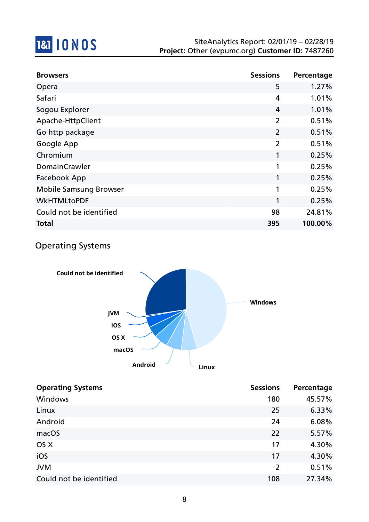

| <b>Browsers</b>               | <b>Sessions</b> | Percentage |
|-------------------------------|-----------------|------------|
| Opera                         | 5               | 1.27%      |
| Safari                        | 4               | 1.01%      |
| Sogou Explorer                | 4               | 1.01%      |
| Apache-HttpClient             | $\overline{2}$  | 0.51%      |
| Go http package               | $\overline{2}$  | 0.51%      |
| Google App                    | $\overline{2}$  | 0.51%      |
| Chromium                      | 1               | 0.25%      |
| <b>DomainCrawler</b>          | 1               | 0.25%      |
| Facebook App                  | 1               | 0.25%      |
| <b>Mobile Samsung Browser</b> | 1               | 0.25%      |
| <b>WkHTMLtoPDF</b>            | 1               | 0.25%      |
| Could not be identified       | 98              | 24.81%     |
| <b>Total</b>                  | 395             | 100.00%    |

### Operating Systems



| <b>Operating Systems</b> | <b>Sessions</b> | Percentage |
|--------------------------|-----------------|------------|
| <b>Windows</b>           | 180             | 45.57%     |
| Linux                    | 25              | 6.33%      |
| Android                  | 24              | 6.08%      |
| macOS                    | 22              | 5.57%      |
| OS X                     | 17              | 4.30%      |
| iOS                      | 17              | 4.30%      |
| <b>JVM</b>               | 2               | 0.51%      |
| Could not be identified  | 108             | 27.34%     |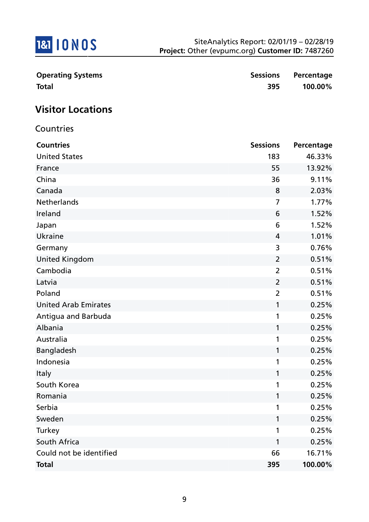

| <b>Operating Systems</b> |     | Sessions Percentage |
|--------------------------|-----|---------------------|
| <b>Total</b>             | 395 | 100.00%             |

# **Visitor Locations**

Countries

| <b>Countries</b>            | <b>Sessions</b> | Percentage |
|-----------------------------|-----------------|------------|
| <b>United States</b>        | 183             | 46.33%     |
| France                      | 55              | 13.92%     |
| China                       | 36              | 9.11%      |
| Canada                      | 8               | 2.03%      |
| <b>Netherlands</b>          | 7               | 1.77%      |
| Ireland                     | 6               | 1.52%      |
| Japan                       | 6               | 1.52%      |
| <b>Ukraine</b>              | 4               | 1.01%      |
| Germany                     | 3               | 0.76%      |
| <b>United Kingdom</b>       | $\overline{2}$  | 0.51%      |
| Cambodia                    | $\overline{2}$  | 0.51%      |
| Latvia                      | $\overline{2}$  | 0.51%      |
| Poland                      | $\overline{2}$  | 0.51%      |
| <b>United Arab Emirates</b> | $\mathbf{1}$    | 0.25%      |
| Antigua and Barbuda         | 1               | 0.25%      |
| Albania                     | $\mathbf{1}$    | 0.25%      |
| Australia                   | 1               | 0.25%      |
| Bangladesh                  | $\mathbf{1}$    | 0.25%      |
| Indonesia                   | 1               | 0.25%      |
| Italy                       | 1               | 0.25%      |
| South Korea                 | $\mathbf{1}$    | 0.25%      |
| Romania                     | 1               | 0.25%      |
| Serbia                      | 1               | 0.25%      |
| Sweden                      | 1               | 0.25%      |
| Turkey                      | 1               | 0.25%      |
| South Africa                | 1               | 0.25%      |
| Could not be identified     | 66              | 16.71%     |
| <b>Total</b>                | 395             | 100.00%    |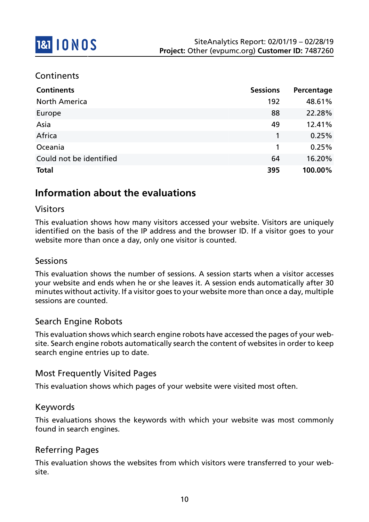### **Continents**

| <b>Continents</b>       | <b>Sessions</b> | Percentage |
|-------------------------|-----------------|------------|
| <b>North America</b>    | 192             | 48.61%     |
| Europe                  | 88              | 22.28%     |
| Asia                    | 49              | 12.41%     |
| Africa                  | 1               | 0.25%      |
| Oceania                 | 1               | 0.25%      |
| Could not be identified | 64              | 16.20%     |
| <b>Total</b>            | 395             | 100.00%    |

### **Information about the evaluations**

#### Visitors

This evaluation shows how many visitors accessed your website. Visitors are uniquely identified on the basis of the IP address and the browser ID. If a visitor goes to your website more than once a day, only one visitor is counted.

#### Sessions

This evaluation shows the number of sessions. A session starts when a visitor accesses your website and ends when he or she leaves it. A session ends automatically after 30 minutes without activity. If a visitor goes to your website more than once a day, multiple sessions are counted.

#### Search Engine Robots

This evaluation shows which search engine robots have accessed the pages of your website. Search engine robots automatically search the content of websites in order to keep search engine entries up to date.

#### Most Frequently Visited Pages

This evaluation shows which pages of your website were visited most often.

#### Keywords

This evaluations shows the keywords with which your website was most commonly found in search engines.

#### Referring Pages

This evaluation shows the websites from which visitors were transferred to your website.